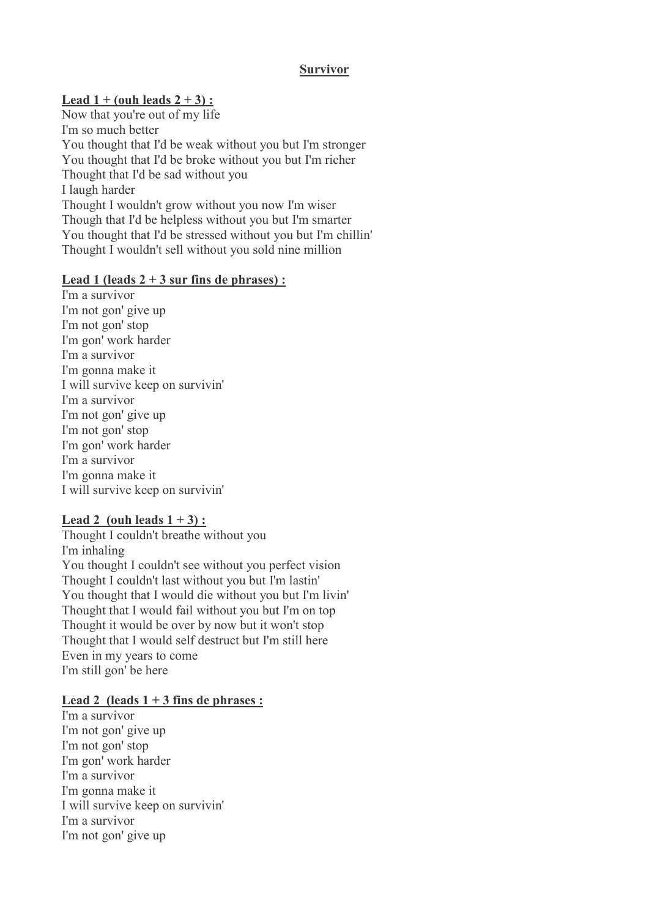### **Survivor**

# **Lead 1 + (ouh leads 2 + 3) :**

Now that you're out of my life I'm so much better You thought that I'd be weak without you but I'm stronger You thought that I'd be broke without you but I'm richer Thought that I'd be sad without you I laugh harder Thought I wouldn't grow without you now I'm wiser Though that I'd be helpless without you but I'm smarter You thought that I'd be stressed without you but I'm chillin' Thought I wouldn't sell without you sold nine million

## **Lead 1 (leads 2 + 3 sur fins de phrases) :**

I'm a survivor I'm not gon' give up I'm not gon' stop I'm gon' work harder I'm a survivor I'm gonna make it I will survive keep on survivin' I'm a survivor I'm not gon' give up I'm not gon' stop I'm gon' work harder I'm a survivor I'm gonna make it I will survive keep on survivin'

## Lead 2 (ouh leads  $1 + 3$ ) :

Thought I couldn't breathe without you I'm inhaling You thought I couldn't see without you perfect vision Thought I couldn't last without you but I'm lastin' You thought that I would die without you but I'm livin' Thought that I would fail without you but I'm on top Thought it would be over by now but it won't stop Thought that I would self destruct but I'm still here Even in my years to come I'm still gon' be here

## **Lead 2 (leads 1 + 3 fins de phrases :**

I'm a survivor I'm not gon' give up I'm not gon' stop I'm gon' work harder I'm a survivor I'm gonna make it I will survive keep on survivin' I'm a survivor I'm not gon' give up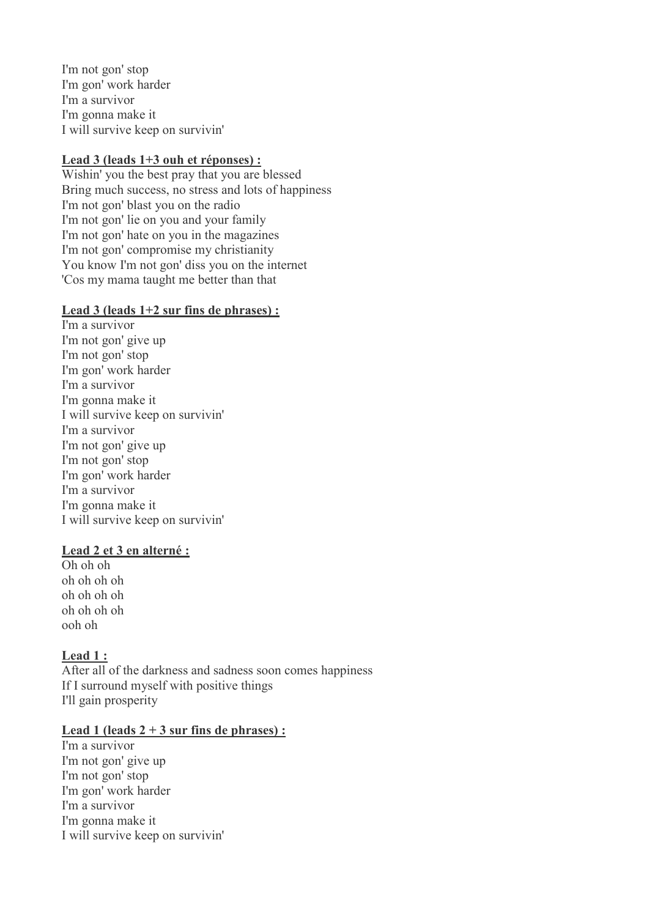I'm not gon' stop I'm gon' work harder I'm a survivor I'm gonna make it I will survive keep on survivin'

# **Lead 3 (leads 1+3 ouh et réponses) :**

Wishin' you the best pray that you are blessed Bring much success, no stress and lots of happiness I'm not gon' blast you on the radio I'm not gon' lie on you and your family I'm not gon' hate on you in the magazines I'm not gon' compromise my christianity You know I'm not gon' diss you on the internet 'Cos my mama taught me better than that

### **Lead 3 (leads 1+2 sur fins de phrases) :**

I'm a survivor I'm not gon' give up I'm not gon' stop I'm gon' work harder I'm a survivor I'm gonna make it I will survive keep on survivin' I'm a survivor I'm not gon' give up I'm not gon' stop I'm gon' work harder I'm a survivor I'm gonna make it I will survive keep on survivin'

## **Lead 2 et 3 en alterné :**

Oh oh oh oh oh oh oh oh oh oh oh oh oh oh oh ooh oh

## **Lead 1 :**

After all of the darkness and sadness soon comes happiness If I surround myself with positive things I'll gain prosperity

#### Lead 1 (leads  $2 + 3$  sur fins de phrases) :

I'm a survivor I'm not gon' give up I'm not gon' stop I'm gon' work harder I'm a survivor I'm gonna make it I will survive keep on survivin'